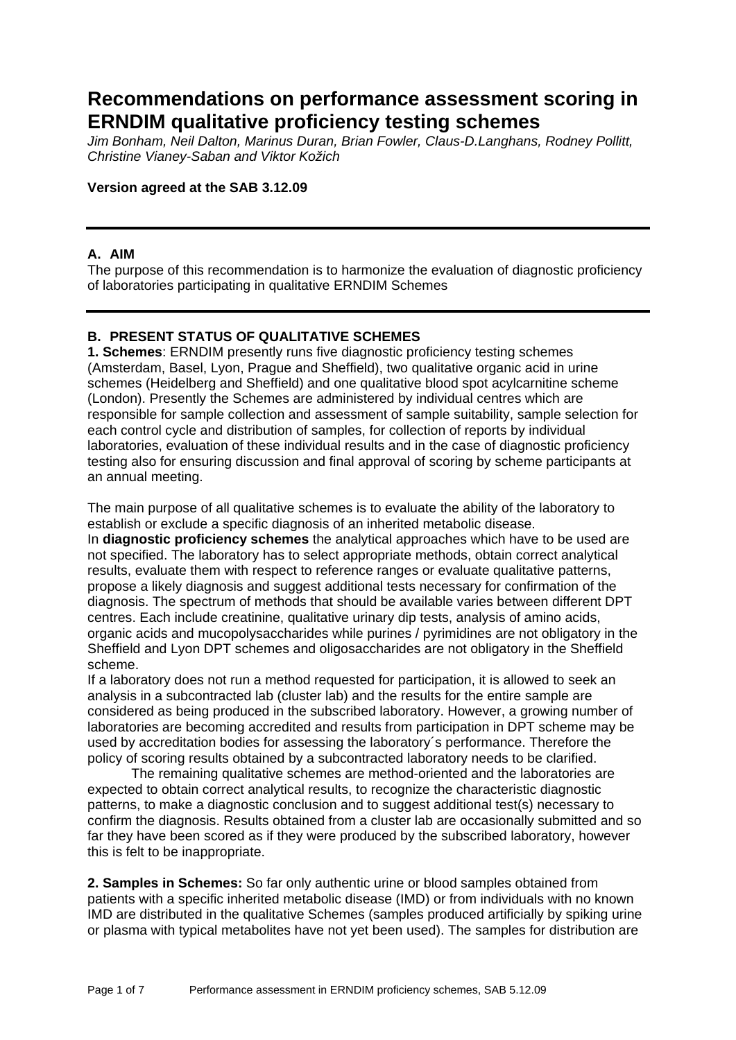# **Recommendations on performance assessment scoring in ERNDIM qualitative proficiency testing schemes**

*Jim Bonham, Neil Dalton, Marinus Duran, Brian Fowler, Claus-D.Langhans, Rodney Pollitt, Christine Vianey-Saban and Viktor Kožich* 

#### **Version agreed at the SAB 3.12.09**

## **A. AIM**

The purpose of this recommendation is to harmonize the evaluation of diagnostic proficiency of laboratories participating in qualitative ERNDIM Schemes

## **B. PRESENT STATUS OF QUALITATIVE SCHEMES**

**1. Schemes**: ERNDIM presently runs five diagnostic proficiency testing schemes (Amsterdam, Basel, Lyon, Prague and Sheffield), two qualitative organic acid in urine schemes (Heidelberg and Sheffield) and one qualitative blood spot acylcarnitine scheme (London). Presently the Schemes are administered by individual centres which are responsible for sample collection and assessment of sample suitability, sample selection for each control cycle and distribution of samples, for collection of reports by individual laboratories, evaluation of these individual results and in the case of diagnostic proficiency testing also for ensuring discussion and final approval of scoring by scheme participants at an annual meeting.

The main purpose of all qualitative schemes is to evaluate the ability of the laboratory to establish or exclude a specific diagnosis of an inherited metabolic disease. In **diagnostic proficiency schemes** the analytical approaches which have to be used are not specified. The laboratory has to select appropriate methods, obtain correct analytical results, evaluate them with respect to reference ranges or evaluate qualitative patterns, propose a likely diagnosis and suggest additional tests necessary for confirmation of the diagnosis. The spectrum of methods that should be available varies between different DPT centres. Each include creatinine, qualitative urinary dip tests, analysis of amino acids, organic acids and mucopolysaccharides while purines / pyrimidines are not obligatory in the Sheffield and Lyon DPT schemes and oligosaccharides are not obligatory in the Sheffield scheme.

If a laboratory does not run a method requested for participation, it is allowed to seek an analysis in a subcontracted lab (cluster lab) and the results for the entire sample are considered as being produced in the subscribed laboratory. However, a growing number of laboratories are becoming accredited and results from participation in DPT scheme may be used by accreditation bodies for assessing the laboratory´s performance. Therefore the policy of scoring results obtained by a subcontracted laboratory needs to be clarified.

The remaining qualitative schemes are method-oriented and the laboratories are expected to obtain correct analytical results, to recognize the characteristic diagnostic patterns, to make a diagnostic conclusion and to suggest additional test(s) necessary to confirm the diagnosis. Results obtained from a cluster lab are occasionally submitted and so far they have been scored as if they were produced by the subscribed laboratory, however this is felt to be inappropriate.

**2. Samples in Schemes:** So far only authentic urine or blood samples obtained from patients with a specific inherited metabolic disease (IMD) or from individuals with no known IMD are distributed in the qualitative Schemes (samples produced artificially by spiking urine or plasma with typical metabolites have not yet been used). The samples for distribution are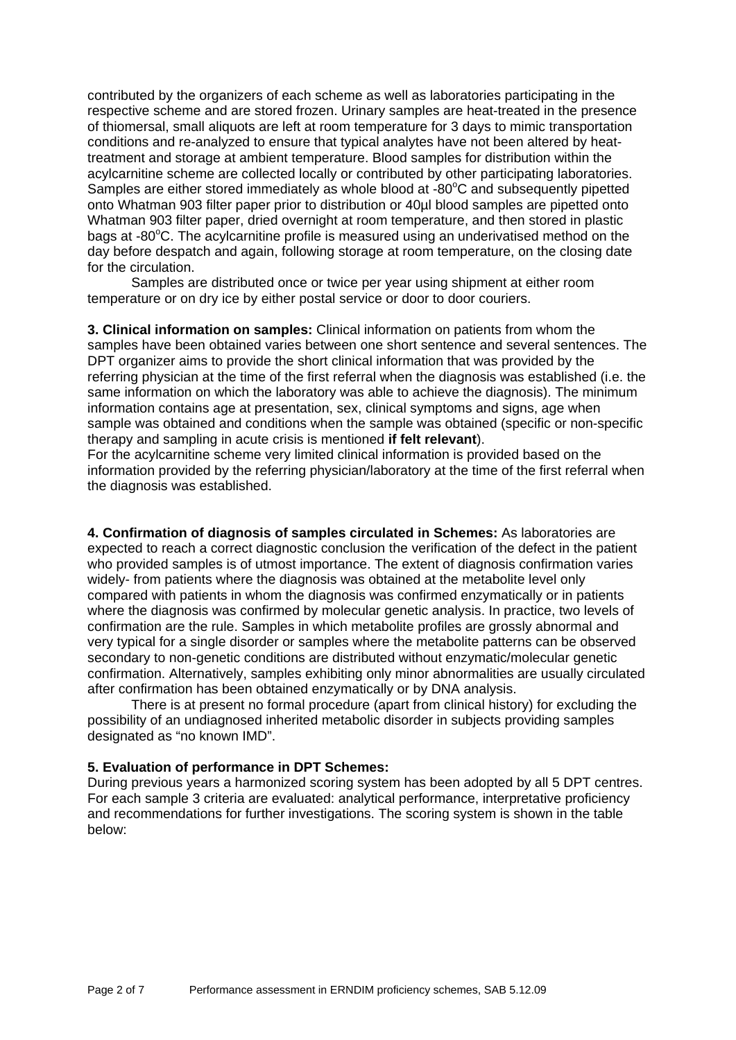contributed by the organizers of each scheme as well as laboratories participating in the respective scheme and are stored frozen. Urinary samples are heat-treated in the presence of thiomersal, small aliquots are left at room temperature for 3 days to mimic transportation conditions and re-analyzed to ensure that typical analytes have not been altered by heattreatment and storage at ambient temperature. Blood samples for distribution within the acylcarnitine scheme are collected locally or contributed by other participating laboratories. Samples are either stored immediately as whole blood at  $-80^{\circ}$ C and subsequently pipetted onto Whatman 903 filter paper prior to distribution or 40µl blood samples are pipetted onto Whatman 903 filter paper, dried overnight at room temperature, and then stored in plastic bags at -80°C. The acylcarnitine profile is measured using an underivatised method on the day before despatch and again, following storage at room temperature, on the closing date for the circulation.

Samples are distributed once or twice per year using shipment at either room temperature or on dry ice by either postal service or door to door couriers.

**3. Clinical information on samples:** Clinical information on patients from whom the samples have been obtained varies between one short sentence and several sentences. The DPT organizer aims to provide the short clinical information that was provided by the referring physician at the time of the first referral when the diagnosis was established (i.e. the same information on which the laboratory was able to achieve the diagnosis). The minimum information contains age at presentation, sex, clinical symptoms and signs, age when sample was obtained and conditions when the sample was obtained (specific or non-specific therapy and sampling in acute crisis is mentioned **if felt relevant**).

For the acylcarnitine scheme very limited clinical information is provided based on the information provided by the referring physician/laboratory at the time of the first referral when the diagnosis was established.

**4. Confirmation of diagnosis of samples circulated in Schemes:** As laboratories are expected to reach a correct diagnostic conclusion the verification of the defect in the patient who provided samples is of utmost importance. The extent of diagnosis confirmation varies widely- from patients where the diagnosis was obtained at the metabolite level only compared with patients in whom the diagnosis was confirmed enzymatically or in patients where the diagnosis was confirmed by molecular genetic analysis. In practice, two levels of confirmation are the rule. Samples in which metabolite profiles are grossly abnormal and very typical for a single disorder or samples where the metabolite patterns can be observed secondary to non-genetic conditions are distributed without enzymatic/molecular genetic confirmation. Alternatively, samples exhibiting only minor abnormalities are usually circulated after confirmation has been obtained enzymatically or by DNA analysis.

There is at present no formal procedure (apart from clinical history) for excluding the possibility of an undiagnosed inherited metabolic disorder in subjects providing samples designated as "no known IMD".

#### **5. Evaluation of performance in DPT Schemes:**

During previous years a harmonized scoring system has been adopted by all 5 DPT centres. For each sample 3 criteria are evaluated: analytical performance, interpretative proficiency and recommendations for further investigations. The scoring system is shown in the table below: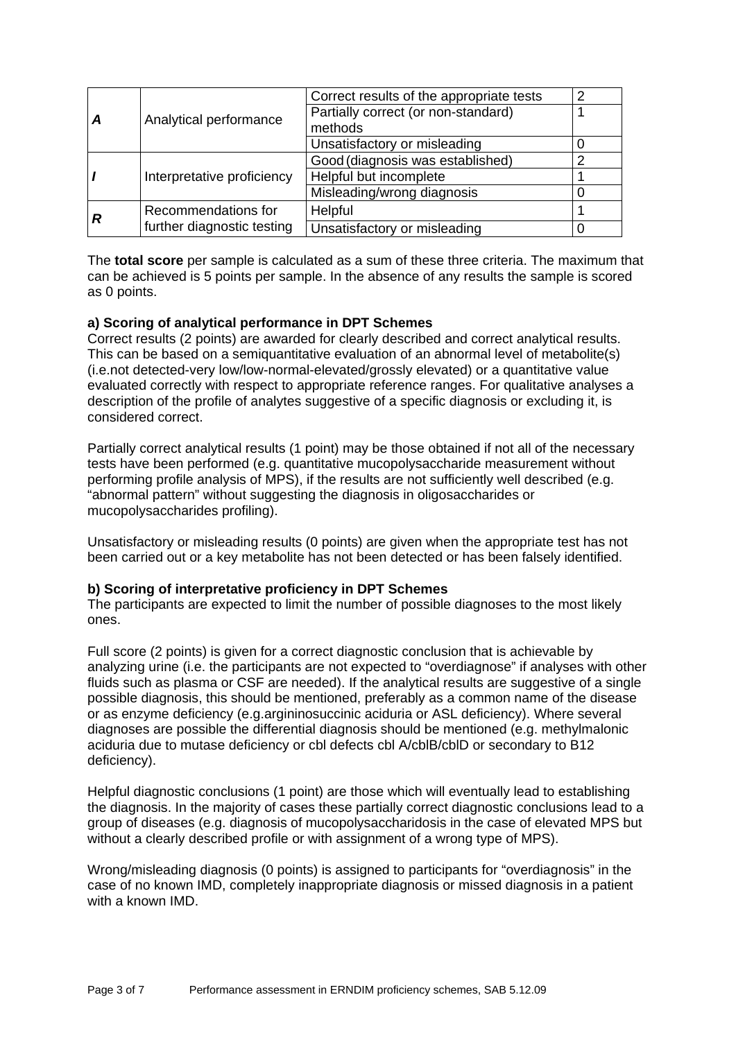|   | Analytical performance                            | Correct results of the appropriate tests |  |
|---|---------------------------------------------------|------------------------------------------|--|
|   |                                                   | Partially correct (or non-standard)      |  |
|   |                                                   | methods                                  |  |
|   |                                                   | Unsatisfactory or misleading             |  |
|   | Interpretative proficiency                        | Good (diagnosis was established)         |  |
|   |                                                   | Helpful but incomplete                   |  |
|   |                                                   | Misleading/wrong diagnosis               |  |
| R | Recommendations for<br>further diagnostic testing | Helpful                                  |  |
|   |                                                   | Unsatisfactory or misleading             |  |

The **total score** per sample is calculated as a sum of these three criteria. The maximum that can be achieved is 5 points per sample. In the absence of any results the sample is scored as 0 points.

## **a) Scoring of analytical performance in DPT Schemes**

Correct results (2 points) are awarded for clearly described and correct analytical results. This can be based on a semiquantitative evaluation of an abnormal level of metabolite(s) (i.e.not detected-very low/low-normal-elevated/grossly elevated) or a quantitative value evaluated correctly with respect to appropriate reference ranges. For qualitative analyses a description of the profile of analytes suggestive of a specific diagnosis or excluding it, is considered correct.

Partially correct analytical results (1 point) may be those obtained if not all of the necessary tests have been performed (e.g. quantitative mucopolysaccharide measurement without performing profile analysis of MPS), if the results are not sufficiently well described (e.g. "abnormal pattern" without suggesting the diagnosis in oligosaccharides or mucopolysaccharides profiling).

Unsatisfactory or misleading results (0 points) are given when the appropriate test has not been carried out or a key metabolite has not been detected or has been falsely identified.

#### **b) Scoring of interpretative proficiency in DPT Schemes**

The participants are expected to limit the number of possible diagnoses to the most likely ones.

Full score (2 points) is given for a correct diagnostic conclusion that is achievable by analyzing urine (i.e. the participants are not expected to "overdiagnose" if analyses with other fluids such as plasma or CSF are needed). If the analytical results are suggestive of a single possible diagnosis, this should be mentioned, preferably as a common name of the disease or as enzyme deficiency (e.g.argininosuccinic aciduria or ASL deficiency). Where several diagnoses are possible the differential diagnosis should be mentioned (e.g. methylmalonic aciduria due to mutase deficiency or cbl defects cbl A/cblB/cblD or secondary to B12 deficiency).

Helpful diagnostic conclusions (1 point) are those which will eventually lead to establishing the diagnosis. In the majority of cases these partially correct diagnostic conclusions lead to a group of diseases (e.g. diagnosis of mucopolysaccharidosis in the case of elevated MPS but without a clearly described profile or with assignment of a wrong type of MPS).

Wrong/misleading diagnosis (0 points) is assigned to participants for "overdiagnosis" in the case of no known IMD, completely inappropriate diagnosis or missed diagnosis in a patient with a known IMD.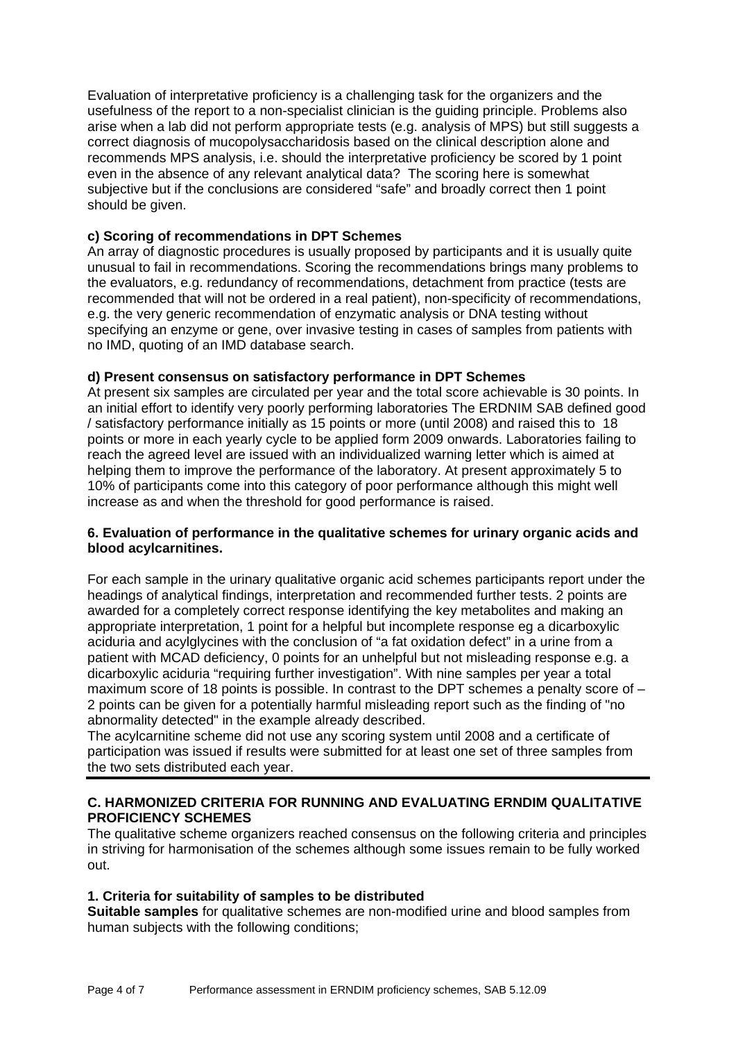Evaluation of interpretative proficiency is a challenging task for the organizers and the usefulness of the report to a non-specialist clinician is the guiding principle. Problems also arise when a lab did not perform appropriate tests (e.g. analysis of MPS) but still suggests a correct diagnosis of mucopolysaccharidosis based on the clinical description alone and recommends MPS analysis, i.e. should the interpretative proficiency be scored by 1 point even in the absence of any relevant analytical data? The scoring here is somewhat subjective but if the conclusions are considered "safe" and broadly correct then 1 point should be given.

## **c) Scoring of recommendations in DPT Schemes**

An array of diagnostic procedures is usually proposed by participants and it is usually quite unusual to fail in recommendations. Scoring the recommendations brings many problems to the evaluators, e.g. redundancy of recommendations, detachment from practice (tests are recommended that will not be ordered in a real patient), non-specificity of recommendations, e.g. the very generic recommendation of enzymatic analysis or DNA testing without specifying an enzyme or gene, over invasive testing in cases of samples from patients with no IMD, quoting of an IMD database search.

## **d) Present consensus on satisfactory performance in DPT Schemes**

At present six samples are circulated per year and the total score achievable is 30 points. In an initial effort to identify very poorly performing laboratories The ERDNIM SAB defined good / satisfactory performance initially as 15 points or more (until 2008) and raised this to 18 points or more in each yearly cycle to be applied form 2009 onwards. Laboratories failing to reach the agreed level are issued with an individualized warning letter which is aimed at helping them to improve the performance of the laboratory. At present approximately 5 to 10% of participants come into this category of poor performance although this might well increase as and when the threshold for good performance is raised.

#### **6. Evaluation of performance in the qualitative schemes for urinary organic acids and blood acylcarnitines.**

For each sample in the urinary qualitative organic acid schemes participants report under the headings of analytical findings, interpretation and recommended further tests. 2 points are awarded for a completely correct response identifying the key metabolites and making an appropriate interpretation, 1 point for a helpful but incomplete response eg a dicarboxylic aciduria and acylglycines with the conclusion of "a fat oxidation defect" in a urine from a patient with MCAD deficiency, 0 points for an unhelpful but not misleading response e.g. a dicarboxylic aciduria "requiring further investigation". With nine samples per year a total maximum score of 18 points is possible. In contrast to the DPT schemes a penalty score of – 2 points can be given for a potentially harmful misleading report such as the finding of "no abnormality detected" in the example already described.

The acylcarnitine scheme did not use any scoring system until 2008 and a certificate of participation was issued if results were submitted for at least one set of three samples from the two sets distributed each year.

## **C. HARMONIZED CRITERIA FOR RUNNING AND EVALUATING ERNDIM QUALITATIVE PROFICIENCY SCHEMES**

The qualitative scheme organizers reached consensus on the following criteria and principles in striving for harmonisation of the schemes although some issues remain to be fully worked out.

## **1. Criteria for suitability of samples to be distributed**

**Suitable samples** for qualitative schemes are non-modified urine and blood samples from human subjects with the following conditions;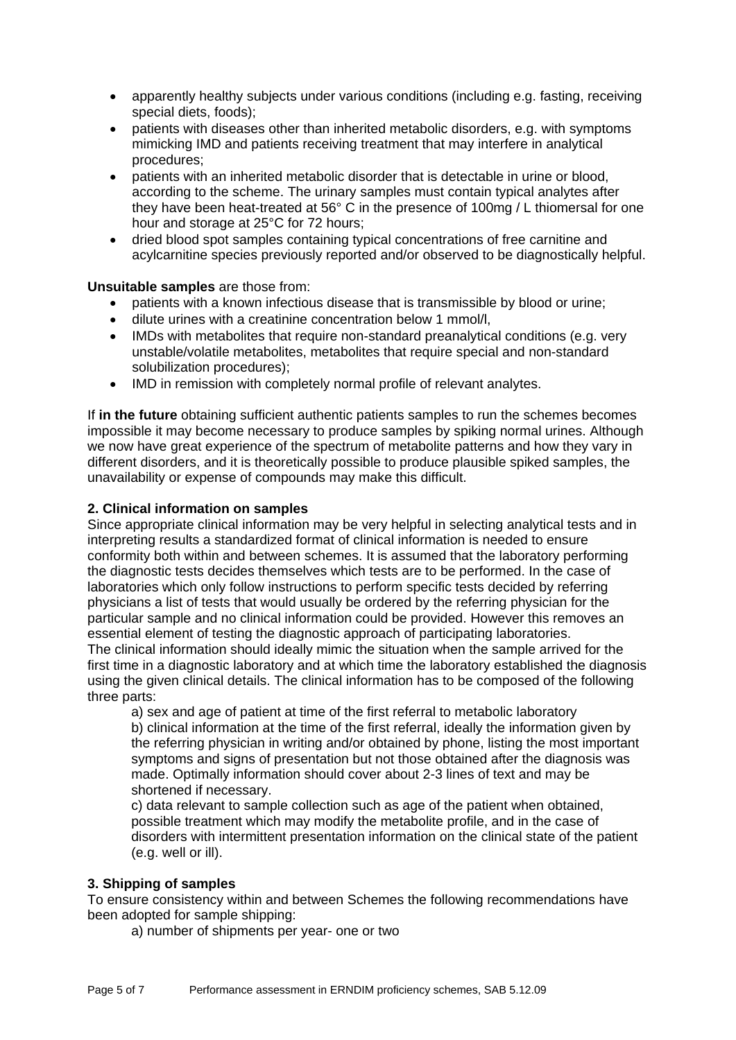- apparently healthy subjects under various conditions (including e.g. fasting, receiving special diets, foods);
- patients with diseases other than inherited metabolic disorders, e.g. with symptoms mimicking IMD and patients receiving treatment that may interfere in analytical procedures;
- patients with an inherited metabolic disorder that is detectable in urine or blood, according to the scheme. The urinary samples must contain typical analytes after they have been heat-treated at 56° C in the presence of 100mg / L thiomersal for one hour and storage at 25°C for 72 hours;
- dried blood spot samples containing typical concentrations of free carnitine and acylcarnitine species previously reported and/or observed to be diagnostically helpful.

# **Unsuitable samples** are those from:

- patients with a known infectious disease that is transmissible by blood or urine;
- dilute urines with a creatinine concentration below 1 mmol/l,
- IMDs with metabolites that require non-standard preanalytical conditions (e.g. very unstable/volatile metabolites, metabolites that require special and non-standard solubilization procedures);
- IMD in remission with completely normal profile of relevant analytes.

If **in the future** obtaining sufficient authentic patients samples to run the schemes becomes impossible it may become necessary to produce samples by spiking normal urines. Although we now have great experience of the spectrum of metabolite patterns and how they vary in different disorders, and it is theoretically possible to produce plausible spiked samples, the unavailability or expense of compounds may make this difficult.

# **2. Clinical information on samples**

Since appropriate clinical information may be very helpful in selecting analytical tests and in interpreting results a standardized format of clinical information is needed to ensure conformity both within and between schemes. It is assumed that the laboratory performing the diagnostic tests decides themselves which tests are to be performed. In the case of laboratories which only follow instructions to perform specific tests decided by referring physicians a list of tests that would usually be ordered by the referring physician for the particular sample and no clinical information could be provided. However this removes an essential element of testing the diagnostic approach of participating laboratories.

The clinical information should ideally mimic the situation when the sample arrived for the first time in a diagnostic laboratory and at which time the laboratory established the diagnosis using the given clinical details. The clinical information has to be composed of the following three parts:

a) sex and age of patient at time of the first referral to metabolic laboratory b) clinical information at the time of the first referral, ideally the information given by the referring physician in writing and/or obtained by phone, listing the most important symptoms and signs of presentation but not those obtained after the diagnosis was made. Optimally information should cover about 2-3 lines of text and may be shortened if necessary.

c) data relevant to sample collection such as age of the patient when obtained, possible treatment which may modify the metabolite profile, and in the case of disorders with intermittent presentation information on the clinical state of the patient (e.g. well or ill).

# **3. Shipping of samples**

To ensure consistency within and between Schemes the following recommendations have been adopted for sample shipping:

a) number of shipments per year- one or two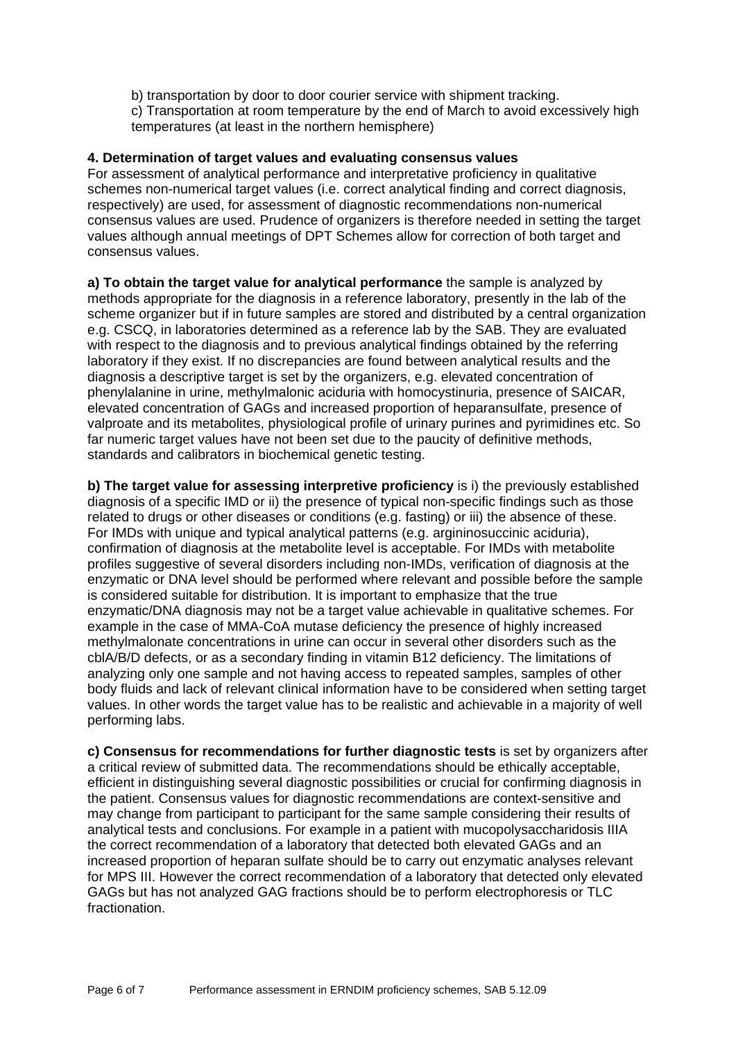b) transportation by door to door courier service with shipment tracking. c) Transportation at room temperature by the end of March to avoid excessively high temperatures (at least in the northern hemisphere)

## **4. Determination of target values and evaluating consensus values**

For assessment of analytical performance and interpretative proficiency in qualitative schemes non-numerical target values (i.e. correct analytical finding and correct diagnosis, respectively) are used, for assessment of diagnostic recommendations non-numerical consensus values are used. Prudence of organizers is therefore needed in setting the target values although annual meetings of DPT Schemes allow for correction of both target and consensus values.

**a) To obtain the target value for analytical performance** the sample is analyzed by methods appropriate for the diagnosis in a reference laboratory, presently in the lab of the scheme organizer but if in future samples are stored and distributed by a central organization e.g. CSCQ, in laboratories determined as a reference lab by the SAB. They are evaluated with respect to the diagnosis and to previous analytical findings obtained by the referring laboratory if they exist. If no discrepancies are found between analytical results and the diagnosis a descriptive target is set by the organizers, e.g. elevated concentration of phenylalanine in urine, methylmalonic aciduria with homocystinuria, presence of SAICAR, elevated concentration of GAGs and increased proportion of heparansulfate, presence of valproate and its metabolites, physiological profile of urinary purines and pyrimidines etc. So far numeric target values have not been set due to the paucity of definitive methods, standards and calibrators in biochemical genetic testing.

**b) The target value for assessing interpretive proficiency** is i) the previously established diagnosis of a specific IMD or ii) the presence of typical non-specific findings such as those related to drugs or other diseases or conditions (e.g. fasting) or iii) the absence of these. For IMDs with unique and typical analytical patterns (e.g. argininosuccinic aciduria), confirmation of diagnosis at the metabolite level is acceptable. For IMDs with metabolite profiles suggestive of several disorders including non-IMDs, verification of diagnosis at the enzymatic or DNA level should be performed where relevant and possible before the sample is considered suitable for distribution. It is important to emphasize that the true enzymatic/DNA diagnosis may not be a target value achievable in qualitative schemes. For example in the case of MMA-CoA mutase deficiency the presence of highly increased methylmalonate concentrations in urine can occur in several other disorders such as the cblA/B/D defects, or as a secondary finding in vitamin B12 deficiency. The limitations of analyzing only one sample and not having access to repeated samples, samples of other body fluids and lack of relevant clinical information have to be considered when setting target values. In other words the target value has to be realistic and achievable in a majority of well performing labs.

**c) Consensus for recommendations for further diagnostic tests** is set by organizers after a critical review of submitted data. The recommendations should be ethically acceptable, efficient in distinguishing several diagnostic possibilities or crucial for confirming diagnosis in the patient. Consensus values for diagnostic recommendations are context-sensitive and may change from participant to participant for the same sample considering their results of analytical tests and conclusions. For example in a patient with mucopolysaccharidosis IIIA the correct recommendation of a laboratory that detected both elevated GAGs and an increased proportion of heparan sulfate should be to carry out enzymatic analyses relevant for MPS III. However the correct recommendation of a laboratory that detected only elevated GAGs but has not analyzed GAG fractions should be to perform electrophoresis or TLC fractionation.